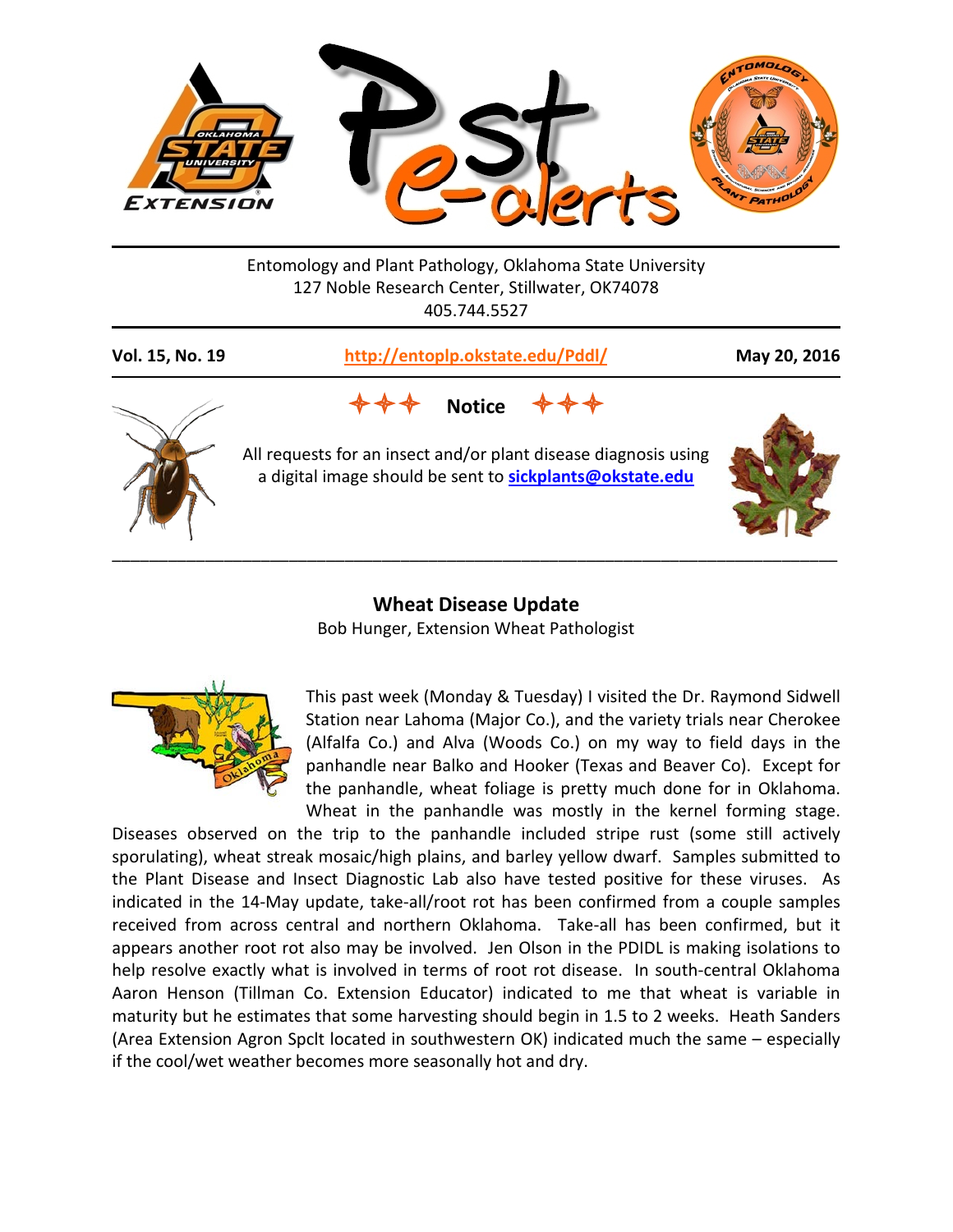

Entomology and Plant Pathology, Oklahoma State University 127 Noble Research Center, Stillwater, OK74078 405.744.5527

| Vol. 15, No. 19 | http://entoplp.okstate.edu/Pddl/                                                                                                             | May 20, 2016 |
|-----------------|----------------------------------------------------------------------------------------------------------------------------------------------|--------------|
|                 | <b>Notice</b><br>All requests for an insect and/or plant disease diagnosis using<br>a digital image should be sent to sickplants@okstate.edu |              |

## **Wheat Disease Update** Bob Hunger, Extension Wheat Pathologist



This past week (Monday & Tuesday) I visited the Dr. Raymond Sidwell Station near Lahoma (Major Co.), and the variety trials near Cherokee (Alfalfa Co.) and Alva (Woods Co.) on my way to field days in the panhandle near Balko and Hooker (Texas and Beaver Co). Except for the panhandle, wheat foliage is pretty much done for in Oklahoma. Wheat in the panhandle was mostly in the kernel forming stage.

Diseases observed on the trip to the panhandle included stripe rust (some still actively sporulating), wheat streak mosaic/high plains, and barley yellow dwarf. Samples submitted to the Plant Disease and Insect Diagnostic Lab also have tested positive for these viruses. As indicated in the 14-May update, take-all/root rot has been confirmed from a couple samples received from across central and northern Oklahoma. Take-all has been confirmed, but it appears another root rot also may be involved. Jen Olson in the PDIDL is making isolations to help resolve exactly what is involved in terms of root rot disease. In south-central Oklahoma Aaron Henson (Tillman Co. Extension Educator) indicated to me that wheat is variable in maturity but he estimates that some harvesting should begin in 1.5 to 2 weeks. Heath Sanders (Area Extension Agron Spclt located in southwestern OK) indicated much the same – especially if the cool/wet weather becomes more seasonally hot and dry.